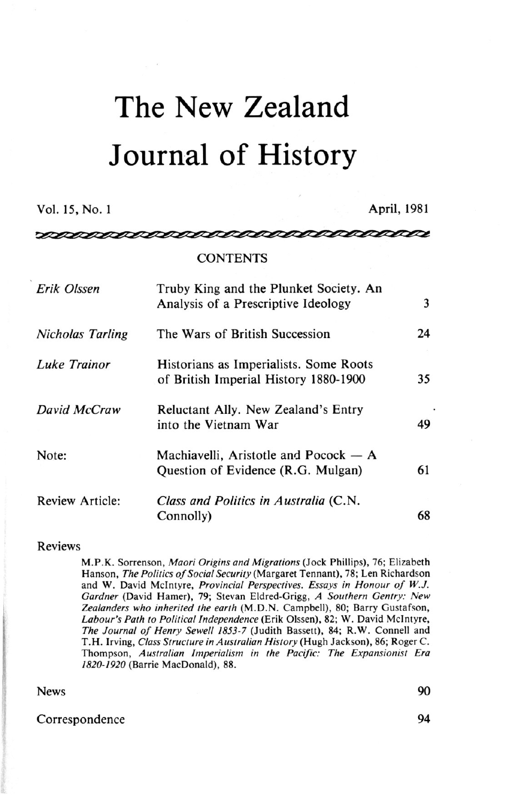# The New Zealand Journal of History

Vol. 15, No. 1 **April, 1981** 

<u>nananananana</u>

manananana

## **CONTENTS**

| Erik Olssen             | Truby King and the Plunket Society. An<br>Analysis of a Prescriptive Ideology   | 3  |
|-------------------------|---------------------------------------------------------------------------------|----|
| <b>Nicholas Tarling</b> | The Wars of British Succession                                                  | 24 |
| Luke Trainor            | Historians as Imperialists. Some Roots<br>of British Imperial History 1880-1900 | 35 |
| David McCraw            | Reluctant Ally. New Zealand's Entry<br>into the Vietnam War                     | 49 |
| Note:                   | Machiavelli, Aristotle and Pocock - A<br>Question of Evidence (R.G. Mulgan)     | 61 |
| <b>Review Article:</b>  | Class and Politics in Australia (C.N.<br>Connolly)                              | 68 |

## Reviews

M.P.K. Sorrenson, *Maori Origins and Migrations* (Jock Phillips), 76; Elizabeth Hanson, *The Politics of Social Security* (Margaret Tennant), 78; Len Richardson and W. David Mclntyre, *Provincial Perspectives. Essays in Honour of W.J. Gardner* (David Hamer), 79; Stevan Eldred-Grigg, *A Southern Gentry: New Zealanders who inherited the earth* (M.D.N. Campbell), 80; Barry Gustafson, *Labour's Path to Political Independence* (Erik Olssen), 82; W. David Mclntyre, *The Journal of Henry Sewell 1853-7* (Judith Bassett), 84; R.W. Connell and T.H. Irving, *Class Structure in Australian History* (Hugh Jackson), 86; Roger C. Thompson, *Australian Imperialism in the Pacific: The Expansionist Era 1820-1920* (Barrie MacDonald), 88.

### News 90

## Correspondence 94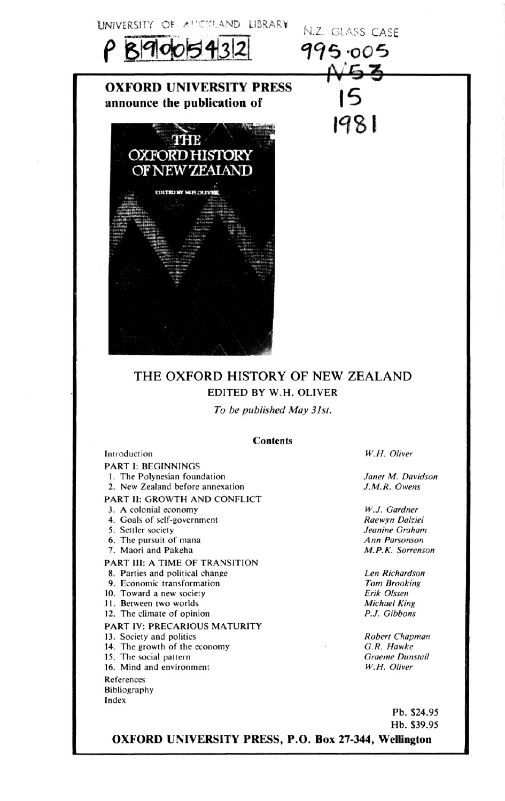



**OXFORD UNIVERSITY PRESS announce the publication of** 



# THE OXFORD HISTORY OF NEW ZEALAND EDITED BY W.H. OLIVER

*To be published May 31st.* 

### **Contents**

Introduction PART I: BEGINNINGS 1. The Polynesian foundation 2. New Zealand before annexation PART II: GROWTH AND CONFLICT 3. A colonial economy

- 4. Goals of self-government
- 5. Settler society
- 6. The pursuit of mana
- 7. Maori and Pakeha
- PART III: A TIME OF TRANSITION
- 8. Parties and political change
- 9. Economic transformation
- 10. Toward a new society
- 11. Between two worlds
- 12. The climate of opinion

### PART IV: PRECARIOUS MATURITY

- 13. Society and politics
- 14. The growth of the economy
- 15. The social pattern
- 16. Mind and environment

References

Bibliography Index

*W.H. Oliver* 

N.Z. GLASS CASE 995.005  $N53$ 

1981

*Janet M. Davidson J. M R. Owens* 

*W.J. Gardner Raewyn Dalziel Jeanine Graham Ann Parsonson M.P.K. Sorrenson* 

*Len Richardson Tom Brooking Erik Olssen Michael King P.J. Gibbons* 

*Robert Chapman G.R. Hawke Graeme Dunstall W.H. Oliver* 

> Pb. \$24.95 Hb. \$39.95

**OXFORD UNIVERSITY PRESS, P.O. Box 27-344, Wellington**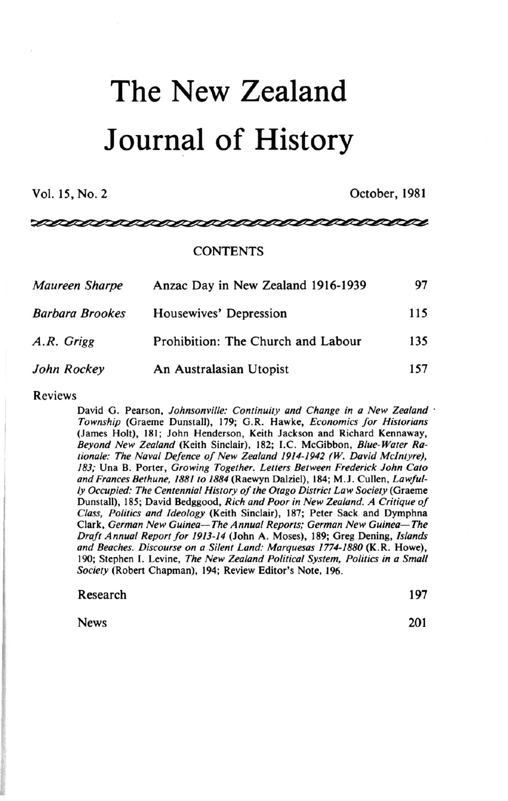# The New Zealand Journal of History

Vol. 15, No. 2 October, 1981

<u>saaanananan </u>

## CONTENTS

| Maureen Sharpe         | Anzac Day in New Zealand 1916-1939 |     |
|------------------------|------------------------------------|-----|
| <b>Barbara Brookes</b> | Housewives' Depression             | 115 |
| A.R. Grigg             | Prohibition: The Church and Labour | 135 |
| John Rockey            | An Australasian Utopist            | 157 |

Reviews

David G. Pearson, Johnsonville: Continuity and Change in a New Zealand · *Township* (Graeme Dunstall), 179; G.R. Hawke, *Economics for Historians*  (James Holt), 181; John Henderson, Keith Jackson and Richard Kennaway, *Beyond New Zealand* (Keith Sinclair), 182; I.C. McGibbon, *Blue-Water Rationale: The Naval Defence of New Zealand 1914-1942 (W. David Mclntyre), 183;* Una B. Porter, *Growing Together. Letters Between Frederick John Cato and Frances Bethune, 1881 to 1884* (Raewyn Dalziel), 184; M.J. Cullen, *Lawfully Occupied: The Centennial History of the Otago District Law Society* (Graeme Dunstall), 185; David Bedggood, *Rich and Poor in New Zealand. A Critique of Class, Politics and Ideology* (Keith Sinclair), 187; Peter Sack and Dymphna Clark, *German New Guinea—The Annual Reports; German New Guinea—The Draft Annual Report for 1913-14* (John A. Moses), 189; Greg Dening, *Islands and Beaches. Discourse on a Silent Land: Marquesas 1774-1880* (K.R. Howe), 190; Stephen I. Levine, *The New Zealand Political System, Politics in a Small Society* (Robert Chapman), 194; Review Editor's Note, 196.

|          | Society (Robert Chapman), 194; Review Editor's Note, 196. |     |
|----------|-----------------------------------------------------------|-----|
| Research |                                                           | 197 |

News 201